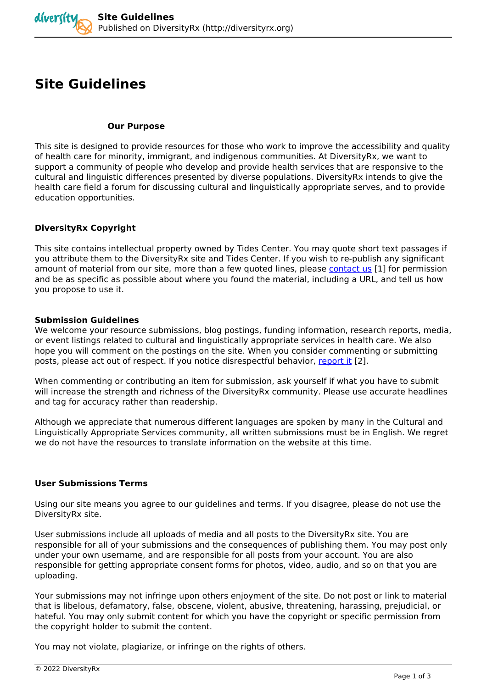# **Site Guidelines**

#### **Our Purpose**

*This site is designed to provide resources for those who work to improve the accessibility and quality of health care for minority, immigrant, and indigenous communities. At DiversityRx, we want to support a community of people who develop and provide health services that are responsive to the cultural and linguistic differences presented by diverse populations. DiversityRx intends to give the health care field a forum for discussing cultural and linguistically appropriate serves, and to provide education opportunities.*

### **DiversityRx Copyright**

*This site contains intellectual property owned by Tides Center. You may quote short text passages if you attribute them to the DiversityRx site and Tides Center. If you wish to re-publish any significant amount of material from our site, more than a few quoted lines, please [contact us](http://diversityrx.org/contact) [1] for permission and be as specific as possible about where you found the material, including a URL, and tell us how you propose to use it.*

#### **Submission Guidelines**

*We welcome your resource submissions, blog postings, funding information, research reports, media, or event listings related to cultural and linguistically appropriate services in health care. We also hope you will comment on the postings on the site. When you consider commenting or submitting posts, please act out of respect. If you notice disrespectful behavior, [report it](http://diversityrx.org/report-problem)* [2].

*When commenting or contributing an item for submission, ask yourself if what you have to submit will increase the strength and richness of the DiversityRx community. Please use accurate headlines and tag for accuracy rather than readership.*

*Although we appreciate that numerous different languages are spoken by many in the Cultural and Linguistically Appropriate Services community, all written submissions must be in English. We regret we do not have the resources to translate information on the website at this time.*

## **User Submissions Terms**

*Using our site means you agree to our guidelines and terms. If you disagree, please do not use the DiversityRx site.*

*User submissions include all uploads of media and all posts to the DiversityRx site. You are responsible for all of your submissions and the consequences of publishing them. You may post only under your own username, and are responsible for all posts from your account. You are also responsible for getting appropriate consent forms for photos, video, audio, and so on that you are uploading.*

*Your submissions may not infringe upon others enjoyment of the site. Do not post or link to material that is libelous, defamatory, false, obscene, violent, abusive, threatening, harassing, prejudicial, or hateful. You may only submit content for which you have the copyright or specific permission from the copyright holder to submit the content.*

*You may not violate, plagiarize, or infringe on the rights of others.*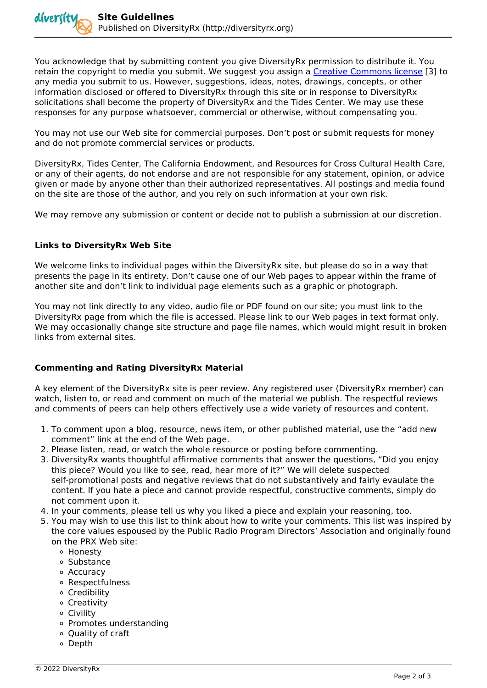*You acknowledge that by submitting content you give DiversityRx permission to distribute it. You retain the copyright to media you submit. We suggest you assign a [Creative Commons license](http://creativecommons.org/) [3] to any media you submit to us. However, suggestions, ideas, notes, drawings, concepts, or other information disclosed or offered to DiversityRx through this site or in response to DiversityRx solicitations shall become the property of DiversityRx and the Tides Center. We may use these responses for any purpose whatsoever, commercial or otherwise, without compensating you.*

*You may not use our Web site for commercial purposes. Don't post or submit requests for money and do not promote commercial services or products.*

*DiversityRx, Tides Center, The California Endowment, and Resources for Cross Cultural Health Care, or any of their agents, do not endorse and are not responsible for any statement, opinion, or advice given or made by anyone other than their authorized representatives. All postings and media found on the site are those of the author, and you rely on such information at your own risk.*

*We may remove any submission or content or decide not to publish a submission at our discretion.*

## **Links to DiversityRx Web Site**

*We welcome links to individual pages within the DiversityRx site, but please do so in a way that presents the page in its entirety. Don't cause one of our Web pages to appear within the frame of another site and don't link to individual page elements such as a graphic or photograph.*

*You may not link directly to any video, audio file or PDF found on our site; you must link to the DiversityRx page from which the file is accessed. Please link to our Web pages in text format only. We may occasionally change site structure and page file names, which would might result in broken links from external sites.*

## **Commenting and Rating DiversityRx Material**

*A key element of the DiversityRx site is peer review. Any registered user (DiversityRx member) can watch, listen to, or read and comment on much of the material we publish. The respectful reviews and comments of peers can help others effectively use a wide variety of resources and content.*

- *1. To comment upon a blog, resource, news item, or other published material, use the "add new comment" link at the end of the Web page.*
- *2. Please listen, read, or watch the whole resource or posting before commenting.*
- *3. DiversityRx wants thoughtful affirmative comments that answer the questions, "Did you enjoy this piece? Would you like to see, read, hear more of it?" We will delete suspected self-promotional posts and negative reviews that do not substantively and fairly evaulate the content. If you hate a piece and cannot provide respectful, constructive comments, simply do not comment upon it.*
- *4. In your comments, please tell us why you liked a piece and explain your reasoning, too.*
- *5. You may wish to use this list to think about how to write your comments. This list was inspired by the core values espoused by the Public Radio Program Directors' Association and originally found on the PRX Web site:* 
	- *Honesty*
	- *Substance*
	- *Accuracy*
	- *Respectfulness*
	- *Credibility*
	- *Creativity*
	- *Civility*
	- *Promotes understanding*
	- *Quality of craft*
	- *Depth*